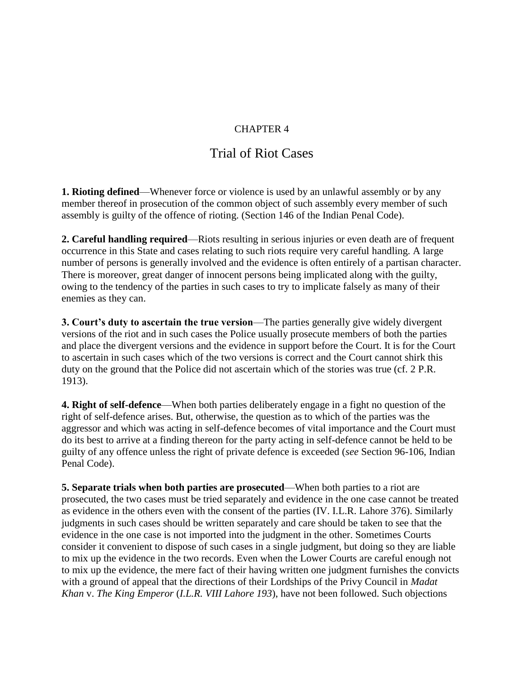## CHAPTER 4

## Trial of Riot Cases

**1. Rioting defined**—Whenever force or violence is used by an unlawful assembly or by any member thereof in prosecution of the common object of such assembly every member of such assembly is guilty of the offence of rioting. (Section 146 of the Indian Penal Code).

**2. Careful handling required**—Riots resulting in serious injuries or even death are of frequent occurrence in this State and cases relating to such riots require very careful handling. A large number of persons is generally involved and the evidence is often entirely of a partisan character. There is moreover, great danger of innocent persons being implicated along with the guilty, owing to the tendency of the parties in such cases to try to implicate falsely as many of their enemies as they can.

**3. Court's duty to ascertain the true version**—The parties generally give widely divergent versions of the riot and in such cases the Police usually prosecute members of both the parties and place the divergent versions and the evidence in support before the Court. It is for the Court to ascertain in such cases which of the two versions is correct and the Court cannot shirk this duty on the ground that the Police did not ascertain which of the stories was true (cf. 2 P.R. 1913).

**4. Right of self-defence**—When both parties deliberately engage in a fight no question of the right of self-defence arises. But, otherwise, the question as to which of the parties was the aggressor and which was acting in self-defence becomes of vital importance and the Court must do its best to arrive at a finding thereon for the party acting in self-defence cannot be held to be guilty of any offence unless the right of private defence is exceeded (*see* Section 96-106, Indian Penal Code).

**5. Separate trials when both parties are prosecuted**—When both parties to a riot are prosecuted, the two cases must be tried separately and evidence in the one case cannot be treated as evidence in the others even with the consent of the parties (IV. I.L.R. Lahore 376). Similarly judgments in such cases should be written separately and care should be taken to see that the evidence in the one case is not imported into the judgment in the other. Sometimes Courts consider it convenient to dispose of such cases in a single judgment, but doing so they are liable to mix up the evidence in the two records. Even when the Lower Courts are careful enough not to mix up the evidence, the mere fact of their having written one judgment furnishes the convicts with a ground of appeal that the directions of their Lordships of the Privy Council in *Madat Khan* v. *The King Emperor* (*I.L.R. VIII Lahore 193*), have not been followed. Such objections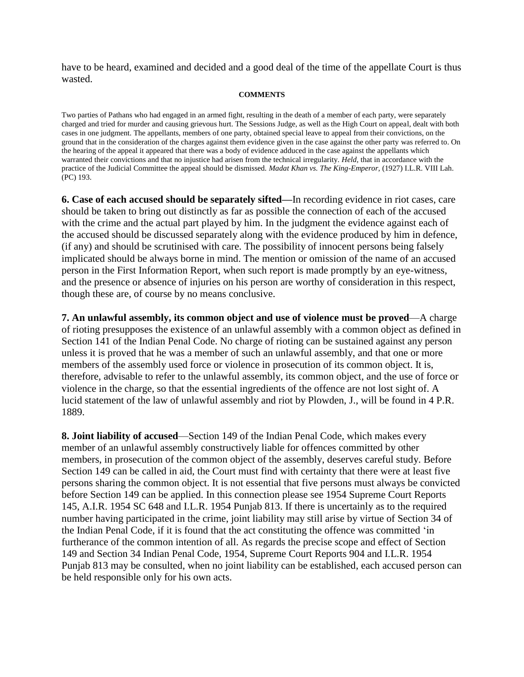have to be heard, examined and decided and a good deal of the time of the appellate Court is thus wasted.

## **COMMENTS**

Two parties of Pathans who had engaged in an armed fight, resulting in the death of a member of each party, were separately charged and tried for murder and causing grievous hurt. The Sessions Judge, as well as the High Court on appeal, dealt with both cases in one judgment. The appellants, members of one party, obtained special leave to appeal from their convictions, on the ground that in the consideration of the charges against them evidence given in the case against the other party was referred to. On the hearing of the appeal it appeared that there was a body of evidence adduced in the case against the appellants which warranted their convictions and that no injustice had arisen from the technical irregularity. *Held,* that in accordance with the practice of the Judicial Committee the appeal should be dismissed. *Madat Khan vs. The King-Emperor,* (1927) I.L.R. VIII Lah. (PC) 193.

**6. Case of each accused should be separately sifted—**In recording evidence in riot cases, care should be taken to bring out distinctly as far as possible the connection of each of the accused with the crime and the actual part played by him. In the judgment the evidence against each of the accused should be discussed separately along with the evidence produced by him in defence, (if any) and should be scrutinised with care. The possibility of innocent persons being falsely implicated should be always borne in mind. The mention or omission of the name of an accused person in the First Information Report, when such report is made promptly by an eye-witness, and the presence or absence of injuries on his person are worthy of consideration in this respect, though these are, of course by no means conclusive.

**7. An unlawful assembly, its common object and use of violence must be proved**—A charge of rioting presupposes the existence of an unlawful assembly with a common object as defined in Section 141 of the Indian Penal Code. No charge of rioting can be sustained against any person unless it is proved that he was a member of such an unlawful assembly, and that one or more members of the assembly used force or violence in prosecution of its common object. It is, therefore, advisable to refer to the unlawful assembly, its common object, and the use of force or violence in the charge, so that the essential ingredients of the offence are not lost sight of. A lucid statement of the law of unlawful assembly and riot by Plowden, J., will be found in 4 P.R. 1889.

**8. Joint liability of accused**—Section 149 of the Indian Penal Code, which makes every member of an unlawful assembly constructively liable for offences committed by other members, in prosecution of the common object of the assembly, deserves careful study. Before Section 149 can be called in aid, the Court must find with certainty that there were at least five persons sharing the common object. It is not essential that five persons must always be convicted before Section 149 can be applied. In this connection please see 1954 Supreme Court Reports 145, A.I.R. 1954 SC 648 and I.L.R. 1954 Punjab 813. If there is uncertainly as to the required number having participated in the crime, joint liability may still arise by virtue of Section 34 of the Indian Penal Code, if it is found that the act constituting the offence was committed "in furtherance of the common intention of all. As regards the precise scope and effect of Section 149 and Section 34 Indian Penal Code, 1954, Supreme Court Reports 904 and I.L.R. 1954 Punjab 813 may be consulted, when no joint liability can be established, each accused person can be held responsible only for his own acts.